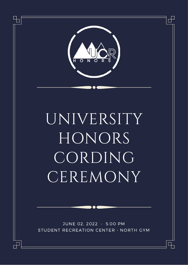

# UNIVERSITY HONORS CORDING **CEREMONY**

JUNE 02, 2022 • 5:00 PM STUDENT RECREATION CENTER - NORTH GYM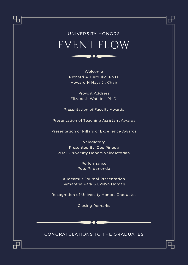# EVENT FLOW UNIVERSITY HONORS

Welcome Richard A. Cardullo, Ph.D. Howard H Hays Jr. Chair

Provost Address Elizabeth Watkins, Ph.D.

Presentation of Faculty Awards

Presentation of Teaching Assistant Awards

Presentation of Pillars of Excellence Awards

Valedictory Presented By: Gee Pineda 2022 University Honors Valedictorian

> Performance Pete Pridanonda

Audeamus Journal Presentation Samantha Park & Evelyn Homan

Recognition of University Honors Graduates

Closing Remarks

#### CONGRATULATIONS TO THE GRADUATES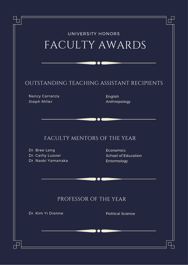| OUTSTANDING TEACHING ASSISTANT RECIPIENTS<br>Nancy Carranza<br>Steph Miller             | English<br>Anthropology                        |
|-----------------------------------------------------------------------------------------|------------------------------------------------|
|                                                                                         |                                                |
|                                                                                         |                                                |
| FACULTY MENTORS OF THE YEAR<br>Dr. Bree Lang<br>Dr. Cathy Lussier<br>Dr. Naoki Yamanaka | Economics<br>School of Education<br>Entomology |
|                                                                                         |                                                |
| PROFESSOR OF THE YEAR                                                                   |                                                |
| Dr. Kim Yi Dionne                                                                       | <b>Political Science</b>                       |
|                                                                                         |                                                |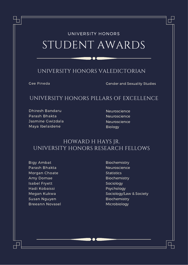# STUDENT AWARDS UNIVERSITY HONORS

### UNIVERSITY HONORS VALEDICTORIAN

Gee Pineda Gender and Sexuality Studies

### UNIVERSITY HONORS PILLARS OF EXCELLENCE

Dhiresh Bandaru Parash Bhakta Jasmine Gwizdala Maya Ibelaidene

**Neuroscience** Neuroscience **Neuroscience** Biology

## HOWARD H HAYS JR. UNIVERSITY HONORS RESEARCH FELLOWS

Bigy Ambat Parash Bhakta Morgan Choate Amy Domae Isabel Fryett Hadi Kobaissi Megan Kukwa Susan Nguyen Breeann Novasel

Biochemistry Neuroscience **Statistics** Biochemistry Sociology Psychology Sociology/Law & Society Biochemistry Microbiology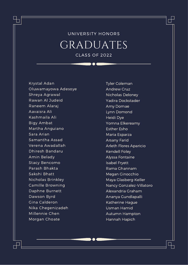## GRADUATES UNIVERSITY HONORS CLASS OF 2022

Krystal Adan Oluwamayowa Adesoye Shreya Agrawal Rawan Al Judeid Raneem Alaraj Aavaisra Ali Kashmaila Ali Bigy Ambat Martha Anguiano Sara Arian Samantha Assad Verena Awadallah Dhiresh Bandaru Amin Belady Stacy Bencomo Parash Bhakta Sakshi Bhatt Nicholas Brinkley Camille Browning Daphne Burnett Dawson Byrd Gina Calderon Nika Chegenizadeh Millennie Chen Morgan Choate

Tyler Coleman Andrew Cruz Nicholas Deloney Yadira Dockstader Amy Domae Lynn Domond Heidi Dye Yomna Elkereamy Esther Esho Maria Esparza Arsany Farid Arleth Flores Aparicio Kendell Foley Alyssa Fontaine Isabel Fryett Rama Ghannam Megan Ginocchio Maya Glasberg-Keller Nancy Gonzalez-Villatoro Alexandria Graham Ananya Gundlapalli Katherine Hague Usman Hamid Autumn Hampton Hannah Hapich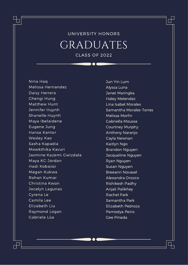## GRADUATES UNIVERSITY HONORS CLASS OF 2022

Nina Haq Melissa Hernandez Daisy Herrera Chengi Hung Matthew Hunt Jennifer Huynh Shanelle Huynh Maya Ibelaidene Eugene Jung Hansa Kantor Wesley Kao Sasha Kapadia Mowkthika Kavuri Jasmine Kazemi Gwizdala Maya KC-Jordan Hadi Kobaissi Megan Kukwa Rohan Kumar Christina Kwon Jocelyn Lagunas Cyrena Le Camila Lee Elizabeth Liu Raymond Logan Gabriela Lúa

Jun Yin Lum Alyssa Luna Janet Maringka Haley Melendez Lina Isabel Morales Samantha Morales-Torres Melissa Morfin Gabriella Moussa Courtney Murphy Anthony Naranjo Cayla Newnan Kaitlyn Ngo Brandon Nguyen Jacqueline Nguyen Ryan Nguyen Susan Nguyen Breeann Novasel Alexandra Orozco Rishikesh Padhy Anjali Palikhey Rachel Park Samantha Park Elizabeth Pedroza Pamodya Peiris Gee Pineda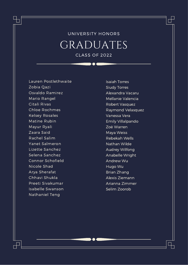## GRADUATES UNIVERSITY HONORS CLASS OF 2022

Lauren Postlethwaite Zobia Qazi Osvaldo Ramirez Mario Rangel Citali Rivas Chloe Rochmes Kelsey Rosales Matine Rubin Mayur Ryali Zaara Said Rachel Salim Yanet Salmeron Lizette Sanchez Selena Sanchez Connor Schofield Nicole Shad Arya Sherafat Chhavi Shukla Preeti Sivakumar Isabelle Swanson Nathaniel Teng

Isaiah Torres Siudy Torres Alexandra Vacaru Mellanie Valencia Robert Vasquez Raymond Velasquez Vanessa Vera Emily Villalpando Zoë Warren Maya Weiss Rebekah Wells Nathan Wilde Audrey Wilfong Anabelle Wright Andrew Wu Hugo Wu Brian Zhang Alexis Ziemann Arianna Zimmer Selim Zoorob

ㄱ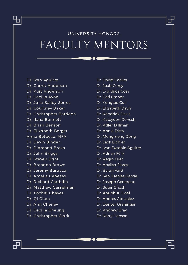# FACULTY MENTORS UNIVERSITY HONORS

- Dr. Ivan Aguirre
- Dr. Garret Anderson
- Dr. Kurt Anderson
- Dr. Cecilia Ayón
- Dr. Julia Bailey-Serres
- Dr. Courtney Baker
- Dr. Christopher Bardeen
- Dr. Ilana Bennett
- Dr. Brian Benson
- Dr. Elizabeth Berger
- Anna Betbeze, MFA
- Dr. Devin Binder
- Dr. Diamond Bravo
- Dr. John Briggs
- Dr. Steven Brint
- Dr. Brandon Brown
- Dr. Jeremy Busacca
- Dr. Amalia Cabezas
- Dr. Richard Cardullo
- Dr. Matthew Casselman
- Dr. Xóchitl Chávez
- Dr. Qi Chen
- Dr. Ann Cheney
- Dr. Cecilia Cheung
- Dr. Christopher Clark

Dr. David Cocker Dr. Joab Corey Dr. Djurdjica Coss Dr. Carl Cranor Dr. Yongtao Cui Dr. Elizabeth Davis Dr. Kendrick Davis Dr. Katayoon Dehesh Dr. Adler Dillman Dr. Annie Ditta Dr. Mengmeng Dong Dr. Jack Eichler Dr. Ivan Eusebio Aguirre Dr. Adrian Félix Dr. Regin Firat Dr. Analisa Flores Dr. Byron Ford Dr. San Juanita García Dr. Joseph Genereux Dr. Subir Ghosh Dr. Anubhuti Goel Dr. Andres Gonzalez

ㄱ

- Dr. Denver Graninger
- Dr. Andrew Gray
- Dr. Kerry Hanson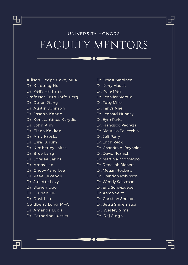# FACULTY MENTORS UNIVERSITY HONORS

Allison Hedge Coke, MFA

- Dr. Xiaoping Hu
- Dr. Kelly Huffman
- Professor Erith Jaffe-Berg
- Dr. De-en Jiang
- Dr. Austin Johnson
- Dr. Joseph Kahne
- Dr. Konstantinos Karydis
- Dr. John Kim
- Dr. Elena Kokkoni
- Dr. Amy Kroska
- Dr. Esra Kurum
- Dr. Kimberley Lakes
- Dr. Bree Lang
- Dr. Loralee Larios
- Dr. Amos Lee
- Dr. Chow-Yang Lee
- Dr. Paea LePendu
- Dr. Juliette Levy
- Dr. Steven Liao
- Dr. Huinan Liu
- Dr. David Lo
- Goldberry Long, MFA
- Dr. Amanda Lucia
- Dr. Catherine Lussier
- Dr. Ernest Martinez Dr. Kerry Mauck Dr. Yujie Men Dr. Jennifer Merolla Dr. Toby Miller Dr. Tanya Nieri Dr. Leonard Nunney Dr. Eyrn Parks Dr. Francisco Pedraza Dr. Maurizio Pellecchia Dr. Jeff Perry Dr. Erich Reck Dr. Chandra A. Reynolds Dr. David Reznick Dr. Martin Riccomagno Dr. Rebekah Richert Dr. Megan Robbins Dr. Brandon Robinson Dr. Wendy Saltzman Dr. Eric Schwizgebel
- Dr. Aaron Seitz
- Dr. Christian Shelton
- Dr. Setsu Shigematsu
- Dr. Wesley Sims
- Dr. Raj Singh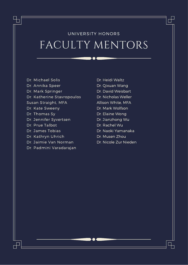# FACULTY MENTORS UNIVERSITY HONORS

- Dr. Michael Solis Dr. Annika Speer Dr. Mark Springer Dr. Katherine Stavropoulos Susan Straight, MFA Dr. Kate Sweeny Dr. Thomas Sy Dr. Jennifer Syvertsen Dr. Prue Talbot
- Dr. James Tobias
- Dr. Kathryn Uhrich
- Dr. Jaimie Van Norman
- Dr. Padmini Varadarajan
- Dr. Heidi Waltz Dr. Qixuan Wang Dr. David Weisbart Dr. Nicholas Weller Allison White, MFA Dr. Mark Wolfson Dr. Elaine Wong Dr. Jianzhong Wu Dr. Rachel Wu Dr. Naoki Yamanaka Dr. Musen Zhou

П

Dr. Nicole Zur Nieden